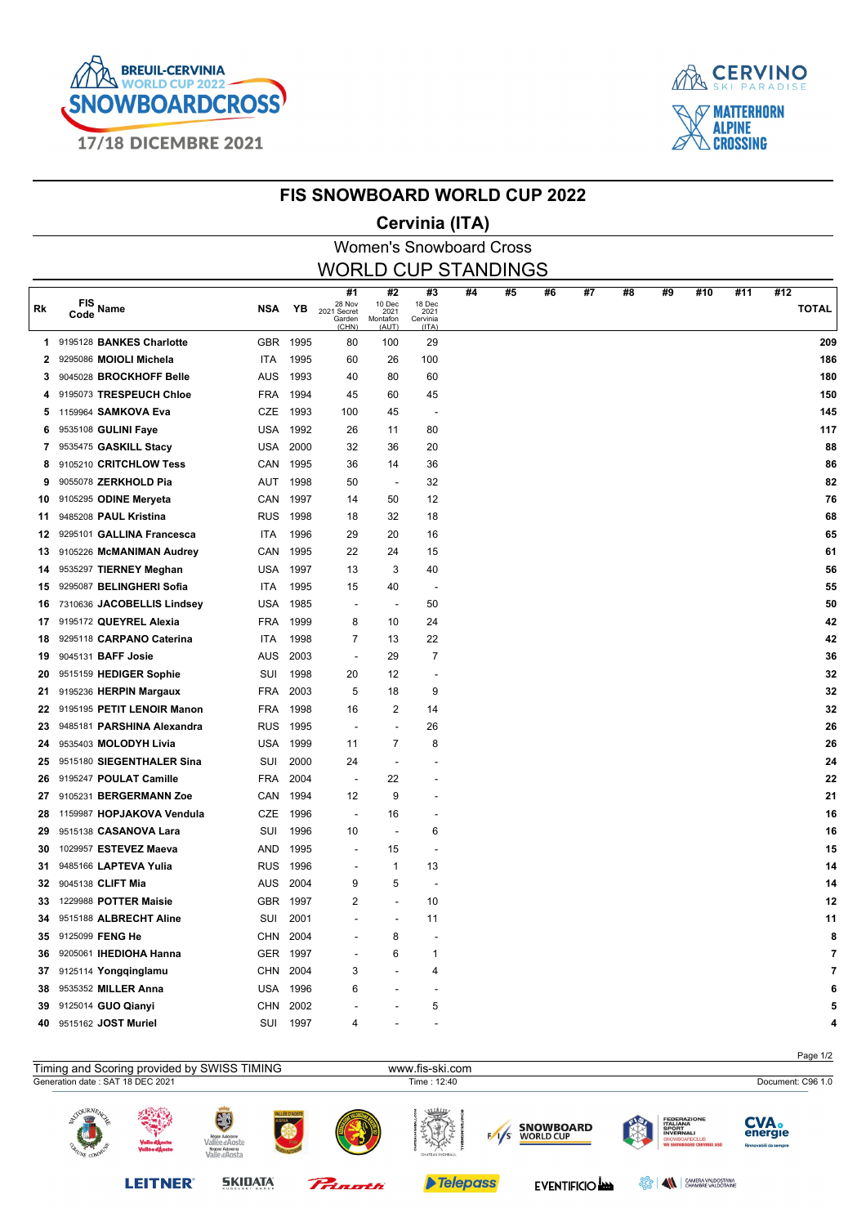



#### **FIS SNOWBOARD WORLD CUP 2022**

### **Cervinia (ITA)**

|                            |                            |            |          |                                                |                                           | <b>Women's Snowboard Cross</b>            |    |    |    |    |    |    |     |     |                     |
|----------------------------|----------------------------|------------|----------|------------------------------------------------|-------------------------------------------|-------------------------------------------|----|----|----|----|----|----|-----|-----|---------------------|
| <b>WORLD CUP STANDINGS</b> |                            |            |          |                                                |                                           |                                           |    |    |    |    |    |    |     |     |                     |
| Rk                         | FIS Name<br>Code           | <b>NSA</b> | ΥB       | #1<br>28 Nov<br>2021 Secret<br>Garden<br>(CHN) | #2<br>10 Dec<br>2021<br>Montafon<br>(AUT) | #3<br>18 Dec<br>2021<br>Cervinia<br>(ITA) | #4 | #5 | #6 | #7 | #8 | #9 | #10 | #11 | #12<br><b>TOTAL</b> |
| 1.                         | 9195128 BANKES Charlotte   | GBR        | 1995     | 80                                             | 100                                       | 29                                        |    |    |    |    |    |    |     |     | 209                 |
| 2.                         | 9295086 MOIOLI Michela     | ITA        | 1995     | 60                                             | 26                                        | 100                                       |    |    |    |    |    |    |     |     | 186                 |
| 3.                         | 9045028 BROCKHOFF Belle    | AUS        | 1993     | 40                                             | 80                                        | 60                                        |    |    |    |    |    |    |     |     | 180                 |
| 4                          | 9195073 TRESPEUCH Chloe    | FRA        | 1994     | 45                                             | 60                                        | 45                                        |    |    |    |    |    |    |     |     | 150                 |
| 5.                         | 1159964 SAMKOVA Eva        | CZE        | 1993     | 100                                            | 45                                        | $\overline{\phantom{a}}$                  |    |    |    |    |    |    |     |     | 145                 |
| 6.                         | 9535108 GULINI Faye        | USA        | 1992     | 26                                             | 11                                        | 80                                        |    |    |    |    |    |    |     |     | 117                 |
| 7                          | 9535475 GASKILL Stacy      | USA        | 2000     | 32                                             | 36                                        | 20                                        |    |    |    |    |    |    |     |     | 88                  |
| 8                          | 9105210 CRITCHLOW Tess     | CAN        | 1995     | 36                                             | 14                                        | 36                                        |    |    |    |    |    |    |     |     | 86                  |
| 9                          | 9055078 ZERKHOLD Pia       | AUT        | 1998     | 50                                             | $\overline{\phantom{a}}$                  | 32                                        |    |    |    |    |    |    |     |     | 82                  |
| 10                         | 9105295 ODINE Meryeta      | CAN        | 1997     | 14                                             | 50                                        | 12                                        |    |    |    |    |    |    |     |     | 76                  |
| 11                         | 9485208 PAUL Kristina      | <b>RUS</b> | 1998     | 18                                             | 32                                        | 18                                        |    |    |    |    |    |    |     |     | 68                  |
| 12                         | 9295101 GALLINA Francesca  | ITA        | 1996     | 29                                             | 20                                        | 16                                        |    |    |    |    |    |    |     |     | 65                  |
| 13                         | 9105226 McMANIMAN Audrey   | CAN        | 1995     | 22                                             | 24                                        | 15                                        |    |    |    |    |    |    |     |     | 61                  |
| 14                         | 9535297 TIERNEY Meghan     | USA        | 1997     | 13                                             | 3                                         | 40                                        |    |    |    |    |    |    |     |     | 56                  |
| 15                         | 9295087 BELINGHERI Sofia   | ITA        | 1995     | 15                                             | 40                                        | $\overline{\phantom{a}}$                  |    |    |    |    |    |    |     |     | 55                  |
| 16                         | 7310636 JACOBELLIS Lindsey | USA        | 1985     | $\overline{\phantom{a}}$                       | $\overline{\phantom{a}}$                  | 50                                        |    |    |    |    |    |    |     |     | 50                  |
| 17                         | 9195172 QUEYREL Alexia     | <b>FRA</b> | 1999     | 8                                              | 10                                        | 24                                        |    |    |    |    |    |    |     |     | 42                  |
| 18                         | 9295118 CARPANO Caterina   | ITA        | 1998     | 7                                              | 13                                        | 22                                        |    |    |    |    |    |    |     |     | 42                  |
| 19                         | 9045131 BAFF Josie         | AUS        | 2003     | $\overline{\phantom{a}}$                       | 29                                        | 7                                         |    |    |    |    |    |    |     |     | 36                  |
| 20                         | 9515159 HEDIGER Sophie     | SUI        | 1998     | 20                                             | 12                                        |                                           |    |    |    |    |    |    |     |     | 32                  |
| 21                         | 9195236 HERPIN Margaux     | FRA        | 2003     | 5                                              | 18                                        | 9                                         |    |    |    |    |    |    |     |     | 32                  |
| 22                         | 9195195 PETIT LENOIR Manon | <b>FRA</b> | 1998     | 16                                             | 2                                         | 14                                        |    |    |    |    |    |    |     |     | 32                  |
| 23                         | 9485181 PARSHINA Alexandra | <b>RUS</b> | 1995     | $\overline{\phantom{a}}$                       | $\overline{a}$                            | 26                                        |    |    |    |    |    |    |     |     | 26                  |
| 24                         | 9535403 MOLODYH Livia      | USA        | 1999     | 11                                             | 7                                         | 8                                         |    |    |    |    |    |    |     |     | 26                  |
| 25                         | 9515180 SIEGENTHALER Sina  | SUI        | 2000     | 24                                             | $\overline{\phantom{a}}$                  |                                           |    |    |    |    |    |    |     |     | 24                  |
| 26                         | 9195247 POULAT Camille     | FRA        | 2004     | $\overline{\phantom{a}}$                       | 22                                        |                                           |    |    |    |    |    |    |     |     | 22                  |
| 27                         | 9105231 BERGERMANN Zoe     | CAN        | 1994     | 12                                             | 9                                         |                                           |    |    |    |    |    |    |     |     | 21                  |
| 28                         | 1159987 HOPJAKOVA Vendula  | CZE        | 1996     | $\blacksquare$                                 | 16                                        |                                           |    |    |    |    |    |    |     |     | 16                  |
| 29                         | 9515138 CASANOVA Lara      | SUI        | 1996     | 10                                             | $\overline{\phantom{a}}$                  | 6                                         |    |    |    |    |    |    |     |     | 16                  |
| 30                         | 1029957 ESTEVEZ Maeva      | AND        | 1995     |                                                | 15                                        |                                           |    |    |    |    |    |    |     |     | 15                  |
| 31                         | 9485166 LAPTEVA Yulia      | <b>RUS</b> | 1996     |                                                | 1                                         | 13                                        |    |    |    |    |    |    |     |     | 14                  |
| 32                         | 9045138 CLIFT Mia          | AUS        | 2004     | 9                                              | 5                                         |                                           |    |    |    |    |    |    |     |     | 14                  |
|                            | 33 1229988 POTTER Maisie   |            | GBR 1997 | 2                                              |                                           | 10                                        |    |    |    |    |    |    |     |     | 12                  |
| 34                         | 9515188 ALBRECHT Aline     | SUI        | 2001     |                                                |                                           | 11                                        |    |    |    |    |    |    |     |     | 11                  |
|                            | 35 9125099 FENG He         | CHN        | 2004     |                                                | 8                                         |                                           |    |    |    |    |    |    |     |     | 8                   |
| 36                         | 9205061 IHEDIOHA Hanna     |            | GER 1997 |                                                | 6                                         | 1                                         |    |    |    |    |    |    |     |     | 7                   |
| 37                         | 9125114 Yongqinglamu       | CHN        | 2004     | 3                                              |                                           | 4                                         |    |    |    |    |    |    |     |     |                     |
| 38                         | 9535352 MILLER Anna        |            | USA 1996 | 6                                              |                                           |                                           |    |    |    |    |    |    |     |     |                     |
|                            | 39 9125014 GUO Qianyi      | CHN        | 2002     |                                                |                                           | 5                                         |    |    |    |    |    |    |     |     | 5                   |
|                            | 40 9515162 JOST Muriel     | SUI        | 1997     | 4                                              |                                           |                                           |    |    |    |    |    |    |     |     | 4                   |